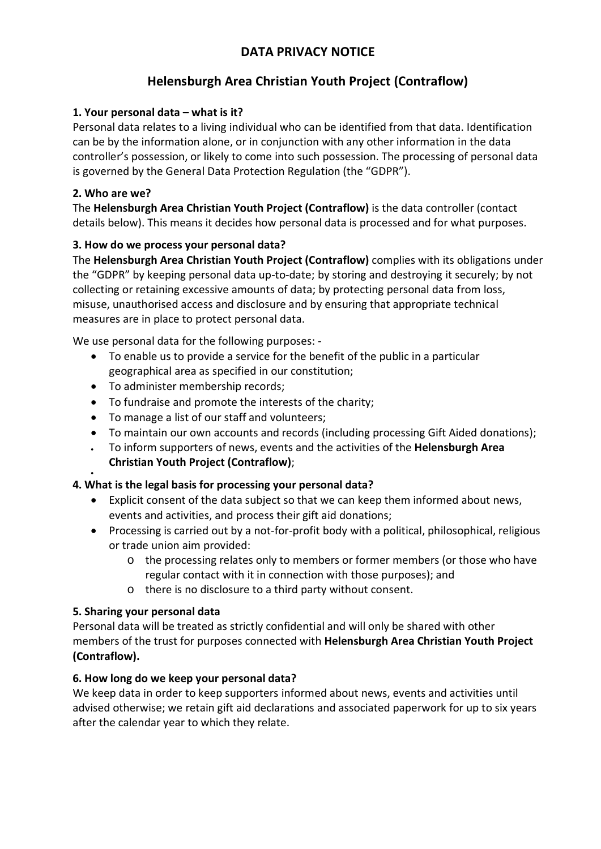# **DATA PRIVACY NOTICE**

# **Helensburgh Area Christian Youth Project (Contraflow)**

### **1. Your personal data – what is it?**

Personal data relates to a living individual who can be identified from that data. Identification can be by the information alone, or in conjunction with any other information in the data controller's possession, or likely to come into such possession. The processing of personal data is governed by the General Data Protection Regulation (the "GDPR").

### **2. Who are we?**

•

The **Helensburgh Area Christian Youth Project (Contraflow)** is the data controller (contact details below). This means it decides how personal data is processed and for what purposes.

### **3. How do we process your personal data?**

The **Helensburgh Area Christian Youth Project (Contraflow)** complies with its obligations under the "GDPR" by keeping personal data up-to-date; by storing and destroying it securely; by not collecting or retaining excessive amounts of data; by protecting personal data from loss, misuse, unauthorised access and disclosure and by ensuring that appropriate technical measures are in place to protect personal data.

We use personal data for the following purposes: -

- To enable us to provide a service for the benefit of the public in a particular geographical area as specified in our constitution;
- To administer membership records;
- To fundraise and promote the interests of the charity;
- To manage a list of our staff and volunteers;
- To maintain our own accounts and records (including processing Gift Aided donations);
- To inform supporters of news, events and the activities of the **Helensburgh Area Christian Youth Project (Contraflow)**;

#### **4. What is the legal basis for processing your personal data?**

- Explicit consent of the data subject so that we can keep them informed about news, events and activities, and process their gift aid donations;
- Processing is carried out by a not-for-profit body with a political, philosophical, religious or trade union aim provided:
	- o the processing relates only to members or former members (or those who have regular contact with it in connection with those purposes); and
	- o there is no disclosure to a third party without consent.

# **5. Sharing your personal data**

Personal data will be treated as strictly confidential and will only be shared with other members of the trust for purposes connected with **Helensburgh Area Christian Youth Project (Contraflow).**

#### **6. How long do we keep your personal data?**

We keep data in order to keep supporters informed about news, events and activities until advised otherwise; we retain gift aid declarations and associated paperwork for up to six years after the calendar year to which they relate.